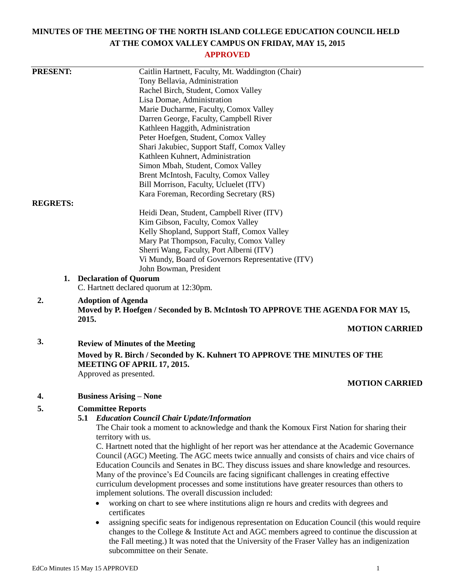# **MINUTES OF THE MEETING OF THE NORTH ISLAND COLLEGE EDUCATION COUNCIL HELD AT THE COMOX VALLEY CAMPUS ON FRIDAY, MAY 15, 2015**

# **APPROVED**

| <b>PRESENT:</b> | Caitlin Hartnett, Faculty, Mt. Waddington (Chair)                                                    |
|-----------------|------------------------------------------------------------------------------------------------------|
|                 | Tony Bellavia, Administration                                                                        |
|                 | Rachel Birch, Student, Comox Valley                                                                  |
|                 | Lisa Domae, Administration                                                                           |
|                 | Marie Ducharme, Faculty, Comox Valley                                                                |
|                 | Darren George, Faculty, Campbell River                                                               |
|                 | Kathleen Haggith, Administration                                                                     |
|                 | Peter Hoefgen, Student, Comox Valley                                                                 |
|                 | Shari Jakubiec, Support Staff, Comox Valley                                                          |
|                 | Kathleen Kuhnert, Administration                                                                     |
|                 | Simon Mbah, Student, Comox Valley                                                                    |
|                 | Brent McIntosh, Faculty, Comox Valley                                                                |
|                 | Bill Morrison, Faculty, Ucluelet (ITV)                                                               |
|                 | Kara Foreman, Recording Secretary (RS)                                                               |
| <b>REGRETS:</b> |                                                                                                      |
|                 | Heidi Dean, Student, Campbell River (ITV)                                                            |
|                 | Kim Gibson, Faculty, Comox Valley                                                                    |
|                 | Kelly Shopland, Support Staff, Comox Valley                                                          |
|                 | Mary Pat Thompson, Faculty, Comox Valley                                                             |
|                 | Sherri Wang, Faculty, Port Alberni (ITV)                                                             |
|                 | Vi Mundy, Board of Governors Representative (ITV)                                                    |
|                 | John Bowman, President                                                                               |
|                 | 1. Declaration of Quorum                                                                             |
|                 | C. Hartnett declared quorum at 12:30pm.                                                              |
| 2.              | <b>Adoption of Agenda</b>                                                                            |
|                 | Moved by P. Hoefgen / Seconded by B. McIntosh TO APPROVE THE AGENDA FOR MAY 15,                      |
|                 | 2015.                                                                                                |
|                 | <b>MOTION CARRIED</b>                                                                                |
| 3.              | <b>Review of Minutes of the Meeting</b>                                                              |
|                 | Moved by R. Birch / Seconded by K. Kuhnert TO APPROVE THE MINUTES OF THE                             |
|                 | <b>MEETING OF APRIL 17, 2015.</b>                                                                    |
|                 | Approved as presented.                                                                               |
|                 | <b>MOTION CARRIED</b>                                                                                |
|                 |                                                                                                      |
| 4.              | <b>Business Arising – None</b>                                                                       |
| 5.              | <b>Committee Reports</b>                                                                             |
|                 | <b>5.1 Education Council Chair Update/Information</b>                                                |
|                 | The Chair took a moment to acknowledge and thank the Komoux First Nation for sharing their           |
|                 | territory with us.                                                                                   |
|                 | C. Hartnett noted that the highlight of her report was her attendance at the Academic Governance     |
|                 | Council (AGC) Meeting. The AGC meets twice annually and consists of chairs and vice chairs of        |
|                 | Education Councils and Senates in BC. They discuss issues and share knowledge and resources.         |
|                 | Many of the province's Ed Councils are facing significant challenges in creating effective           |
|                 | curriculum development processes and some institutions have greater resources than others to         |
|                 | implement solutions. The overall discussion included:                                                |
|                 | working on chart to see where institutions align re hours and credits with degrees and               |
|                 | certificates                                                                                         |
|                 | assigning specific seats for indigenous representation on Education Council (this would require<br>٠ |
|                 | changes to the College & Institute Act and AGC members agreed to continue the discussion at          |
|                 | the Fall meeting.) It was noted that the University of the Fraser Valley has an indigenization       |
|                 | subcommittee on their Senate.                                                                        |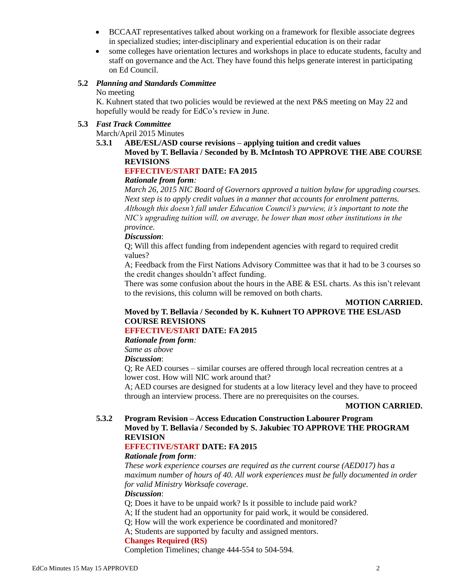- BCCAAT representatives talked about working on a framework for flexible associate degrees in specialized studies; inter-disciplinary and experiential education is on their radar
- some colleges have orientation lectures and workshops in place to educate students, faculty and staff on governance and the Act. They have found this helps generate interest in participating on Ed Council.

# **5.2** *Planning and Standards Committee*

#### No meeting

K. Kuhnert stated that two policies would be reviewed at the next P&S meeting on May 22 and hopefully would be ready for EdCo's review in June.

# **5.3** *Fast Track Committee*

March/April 2015 Minutes

# **5.3.1 ABE/ESL/ASD course revisions – applying tuition and credit values Moved by T. Bellavia / Seconded by B. McIntosh TO APPROVE THE ABE COURSE REVISIONS**

# **EFFECTIVE/START DATE: FA 2015**

# *Rationale from form:*

*March 26, 2015 NIC Board of Governors approved a tuition bylaw for upgrading courses. Next step is to apply credit values in a manner that accounts for enrolment patterns. Although this doesn't fall under Education Council's purview, it's important to note the NIC's upgrading tuition will, on average, be lower than most other institutions in the province.*

#### *Discussion*:

Q; Will this affect funding from independent agencies with regard to required credit values?

A; Feedback from the First Nations Advisory Committee was that it had to be 3 courses so the credit changes shouldn't affect funding.

There was some confusion about the hours in the ABE  $&ESL$  charts. As this isn't relevant to the revisions, this column will be removed on both charts.

# **MOTION CARRIED.**

# **Moved by T. Bellavia / Seconded by K. Kuhnert TO APPROVE THE ESL/ASD COURSE REVISIONS**

# **EFFECTIVE/START DATE: FA 2015**

*Rationale from form:*

# *Same as above*

*Discussion*:

Q; Re AED courses – similar courses are offered through local recreation centres at a lower cost. How will NIC work around that?

A; AED courses are designed for students at a low literacy level and they have to proceed through an interview process. There are no prerequisites on the courses.

# **MOTION CARRIED.**

# **5.3.2 Program Revision – Access Education Construction Labourer Program Moved by T. Bellavia / Seconded by S. Jakubiec TO APPROVE THE PROGRAM REVISION**

# **EFFECTIVE/START DATE: FA 2015**

# *Rationale from form:*

*These work experience courses are required as the current course (AED017) has a maximum number of hours of 40. All work experiences must be fully documented in order for valid Ministry Worksafe coverage.*

# *Discussion*:

Q; Does it have to be unpaid work? Is it possible to include paid work?

A; If the student had an opportunity for paid work, it would be considered.

Q; How will the work experience be coordinated and monitored?

A; Students are supported by faculty and assigned mentors.

# **Changes Required (RS)**

Completion Timelines; change 444-554 to 504-594.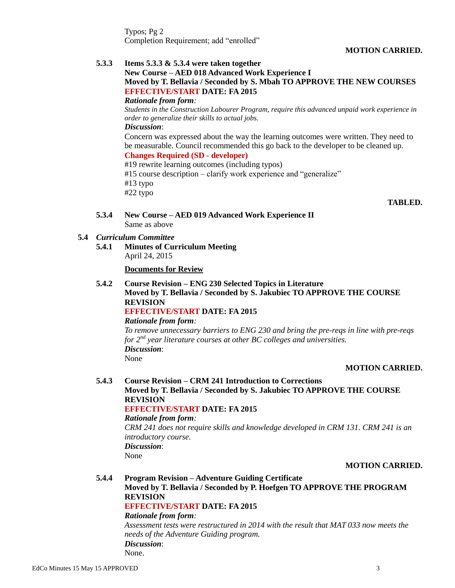Typos; Pg 2 Completion Requirement; add "enrolled"

## **MOTION CARRIED.**

# **5.3.3 Items 5.3.3 & 5.3.4 were taken together New Course – AED 018 Advanced Work Experience I Moved by T. Bellavia / Seconded by S. Mbah TO APPROVE THE NEW COURSES EFFECTIVE/START DATE: FA 2015** *Rationale from form: Students in the Construction Labourer Program, require this advanced unpaid work experience in order to generalize their skills to actual jobs. Discussion*: Concern was expressed about the way the learning outcomes were written. They need to be measurable. Council recommended this go back to the developer to be cleaned up. **Changes Required (SD - developer)** #19 rewrite learning outcomes (including typos) #15 course description – clarify work experience and "generalize" #13 typo #22 typo **TABLED.**

- **5.3.4 New Course – AED 019 Advanced Work Experience II** Same as above
- **5.4** *Curriculum Committee*
	- **5.4.1 Minutes of Curriculum Meeting** April 24, 2015

**Documents for Review**

**5.4.2 Course Revision – ENG 230 Selected Topics in Literature Moved by T. Bellavia / Seconded by S. Jakubiec TO APPROVE THE COURSE REVISION**

# **EFFECTIVE/START DATE: FA 2015**

#### *Rationale from form:*

*To remove unnecessary barriers to ENG 230 and bring the pre-reqs in line with pre-reqs for 2nd year literature courses at other BC colleges and universities. Discussion*: None

#### **MOTION CARRIED.**

#### **5.4.3 Course Revision – CRM 241 Introduction to Corrections Moved by T. Bellavia / Seconded by S. Jakubiec TO APPROVE THE COURSE REVISION EFFECTIVE/START DATE: FA 2015**

#### *Rationale from form:*

*CRM 241 does not require skills and knowledge developed in CRM 131. CRM 241 is an introductory course. Discussion*: None

#### **MOTION CARRIED.**

#### **5.4.4 Program Revision – Adventure Guiding Certificate Moved by T. Bellavia / Seconded by P. Hoefgen TO APPROVE THE PROGRAM REVISION EFFECTIVE/START DATE: FA 2015**

#### *Rationale from form:*

*Assessment tests were restructured in 2014 with the result that MAT 033 now meets the needs of the Adventure Guiding program. Discussion*: None.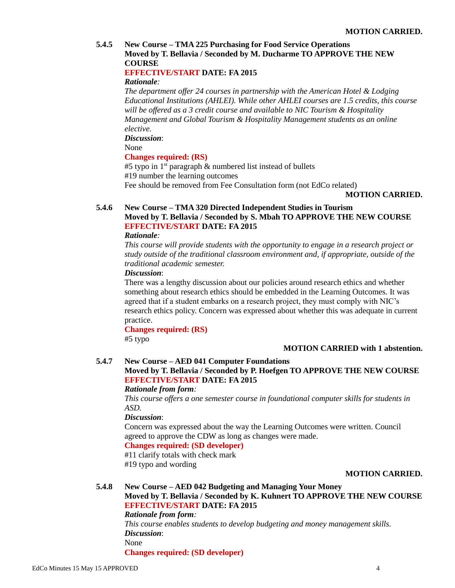# **5.4.5 New Course – TMA 225 Purchasing for Food Service Operations Moved by T. Bellavia / Seconded by M. Ducharme TO APPROVE THE NEW COURSE**

# **EFFECTIVE/START DATE: FA 2015**

## *Rationale:*

*The department offer 24 courses in partnership with the American Hotel & Lodging Educational Institutions (AHLEI). While other AHLEI courses are 1.5 credits, this course will be offered as a 3 credit course and available to NIC Tourism & Hospitality Management and Global Tourism & Hospitality Management students as an online elective.*

*Discussion*:

None

# **Changes required: (RS)**

#5 typo in  $1<sup>st</sup>$  paragraph & numbered list instead of bullets #19 number the learning outcomes Fee should be removed from Fee Consultation form (not EdCo related)

# **MOTION CARRIED.**

# **5.4.6 New Course – TMA 320 Directed Independent Studies in Tourism Moved by T. Bellavia / Seconded by S. Mbah TO APPROVE THE NEW COURSE EFFECTIVE/START DATE: FA 2015**

#### *Rationale:*

*This course will provide students with the opportunity to engage in a research project or study outside of the traditional classroom environment and, if appropriate, outside of the traditional academic semester.*

# *Discussion*:

There was a lengthy discussion about our policies around research ethics and whether something about research ethics should be embedded in the Learning Outcomes. It was agreed that if a student embarks on a research project, they must comply with NIC's research ethics policy. Concern was expressed about whether this was adequate in current practice.

**Changes required: (RS)** #5 typo

# **MOTION CARRIED with 1 abstention.**

## **5.4.7 New Course – AED 041 Computer Foundations Moved by T. Bellavia / Seconded by P. Hoefgen TO APPROVE THE NEW COURSE EFFECTIVE/START DATE: FA 2015**

#### *Rationale from form:*

*This course offers a one semester course in foundational computer skills for students in ASD.*

#### *Discussion*:

Concern was expressed about the way the Learning Outcomes were written. Council agreed to approve the CDW as long as changes were made.

# **Changes required: (SD developer)**

#11 clarify totals with check mark #19 typo and wording

# **MOTION CARRIED.**

# **5.4.8 New Course – AED 042 Budgeting and Managing Your Money**

# **Moved by T. Bellavia / Seconded by K. Kuhnert TO APPROVE THE NEW COURSE EFFECTIVE/START DATE: FA 2015**

## *Rationale from form:*

*This course enables students to develop budgeting and money management skills. Discussion*: None

**Changes required: (SD developer)**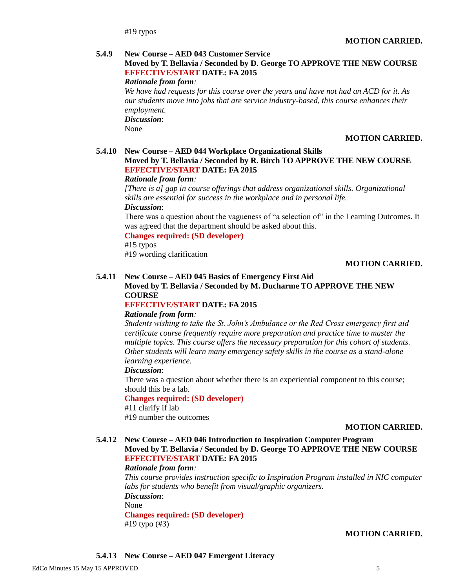#19 typos

#### **5.4.9 New Course – AED 043 Customer Service**

# **Moved by T. Bellavia / Seconded by D. George TO APPROVE THE NEW COURSE EFFECTIVE/START DATE: FA 2015**

#### *Rationale from form:*

*We have had requests for this course over the years and have not had an ACD for it. As our students move into jobs that are service industry-based, this course enhances their employment. Discussion*:

None

#### **MOTION CARRIED.**

# **5.4.10 New Course – AED 044 Workplace Organizational Skills**

# **Moved by T. Bellavia / Seconded by R. Birch TO APPROVE THE NEW COURSE EFFECTIVE/START DATE: FA 2015**

# *Rationale from form:*

*[There is a] gap in course offerings that address organizational skills. Organizational skills are essential for success in the workplace and in personal life. Discussion*:

There was a question about the vagueness of "a selection of" in the Learning Outcomes. It was agreed that the department should be asked about this.

#### **Changes required: (SD developer)**

#15 typos

#19 wording clarification

#### **MOTION CARRIED.**

#### **5.4.11 New Course – AED 045 Basics of Emergency First Aid**

#### **Moved by T. Bellavia / Seconded by M. Ducharme TO APPROVE THE NEW COURSE**

#### **EFFECTIVE/START DATE: FA 2015**

#### *Rationale from form:*

*Students wishing to take the St. John's Ambulance or the Red Cross emergency first aid certificate course frequently require more preparation and practice time to master the multiple topics. This course offers the necessary preparation for this cohort of students. Other students will learn many emergency safety skills in the course as a stand-alone learning experience.*

#### *Discussion*:

There was a question about whether there is an experiential component to this course; should this be a lab.

#### **Changes required: (SD developer)**

#11 clarify if lab #19 number the outcomes

#### **MOTION CARRIED.**

## **5.4.12 New Course – AED 046 Introduction to Inspiration Computer Program Moved by T. Bellavia / Seconded by D. George TO APPROVE THE NEW COURSE EFFECTIVE/START DATE: FA 2015**

## *Rationale from form:*

*This course provides instruction specific to Inspiration Program installed in NIC computer labs for students who benefit from visual/graphic organizers. Discussion*:

None

**Changes required: (SD developer)**

#19 typo (#3)

#### **MOTION CARRIED.**